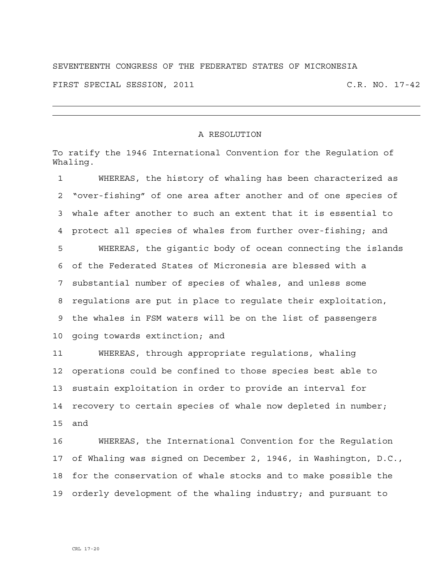## SEVENTEENTH CONGRESS OF THE FEDERATED STATES OF MICRONESIA FIRST SPECIAL SESSION, 2011 C.R. NO. 17-42

## A RESOLUTION

To ratify the 1946 International Convention for the Regulation of Whaling.

1 WHEREAS, the history of whaling has been characterized as 2 "over-fishing" of one area after another and of one species of 3 whale after another to such an extent that it is essential to 4 protect all species of whales from further over-fishing; and 5 WHEREAS, the gigantic body of ocean connecting the islands 6 of the Federated States of Micronesia are blessed with a 7 substantial number of species of whales, and unless some 8 regulations are put in place to regulate their exploitation, 9 the whales in FSM waters will be on the list of passengers 10 going towards extinction; and 11 WHEREAS, through appropriate regulations, whaling

12 operations could be confined to those species best able to 13 sustain exploitation in order to provide an interval for 14 recovery to certain species of whale now depleted in number; 15 and

16 WHEREAS, the International Convention for the Regulation 17 of Whaling was signed on December 2, 1946, in Washington, D.C., 18 for the conservation of whale stocks and to make possible the 19 orderly development of the whaling industry; and pursuant to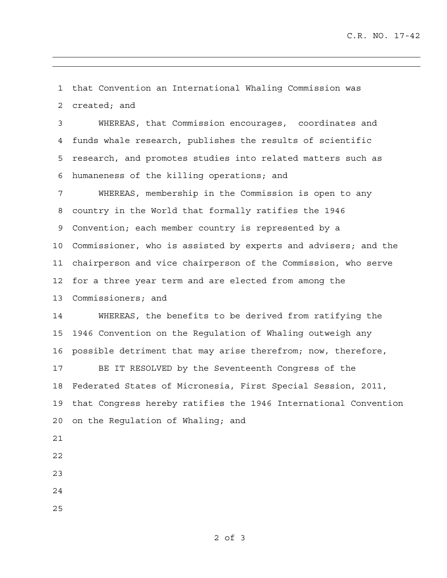1 that Convention an International Whaling Commission was 2 created; and

3 WHEREAS, that Commission encourages, coordinates and 4 funds whale research, publishes the results of scientific 5 research, and promotes studies into related matters such as 6 humaneness of the killing operations; and

7 WHEREAS, membership in the Commission is open to any 8 country in the World that formally ratifies the 1946 9 Convention; each member country is represented by a 10 Commissioner, who is assisted by experts and advisers; and the 11 chairperson and vice chairperson of the Commission, who serve 12 for a three year term and are elected from among the 13 Commissioners; and

14 WHEREAS, the benefits to be derived from ratifying the 15 1946 Convention on the Regulation of Whaling outweigh any 16 possible detriment that may arise therefrom; now, therefore,

17 BE IT RESOLVED by the Seventeenth Congress of the 18 Federated States of Micronesia, First Special Session, 2011, 19 that Congress hereby ratifies the 1946 International Convention 20 on the Regulation of Whaling; and

- 21
- 22
- 23
- 24
- 25